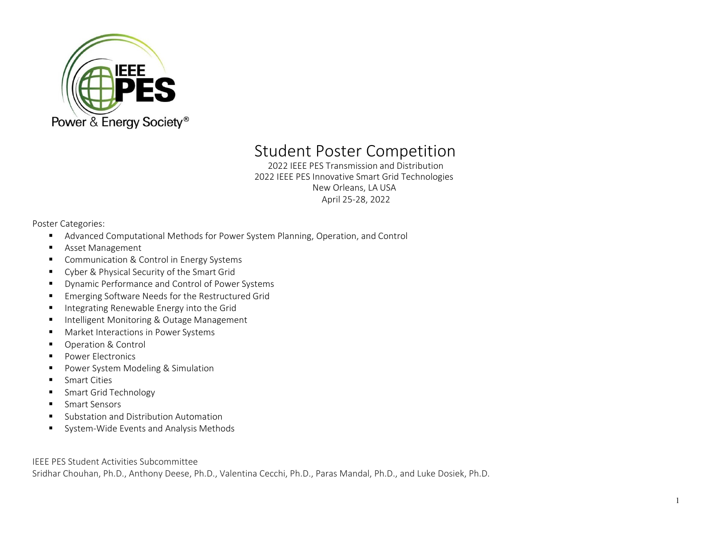

## Student Poster Competition

2022 IEEE PES Transmission and Distribution 2022 IEEE PES Innovative Smart Grid Technologies New Orleans, LA USA April 25-28, 2022

Poster Categories:

- Advanced Computational Methods for Power System Planning, Operation, and Control
- **Asset Management**
- **Communication & Control in Energy Systems**
- Cyber & Physical Security of the Smart Grid
- **•** Dynamic Performance and Control of Power Systems
- **Emerging Software Needs for the Restructured Grid**
- **Integrating Renewable Energy into the Grid**
- **Intelligent Monitoring & Outage Management**
- **Market Interactions in Power Systems**
- **•** Operation & Control
- **Power Electronics**
- **Power System Modeling & Simulation**
- **Smart Cities**
- **Smart Grid Technology**
- **Smart Sensors**
- Substation and Distribution Automation
- System-Wide Events and Analysis Methods

IEEE PES Student Activities Subcommittee

Sridhar Chouhan, Ph.D., Anthony Deese, Ph.D., Valentina Cecchi, Ph.D., Paras Mandal, Ph.D., and Luke Dosiek, Ph.D.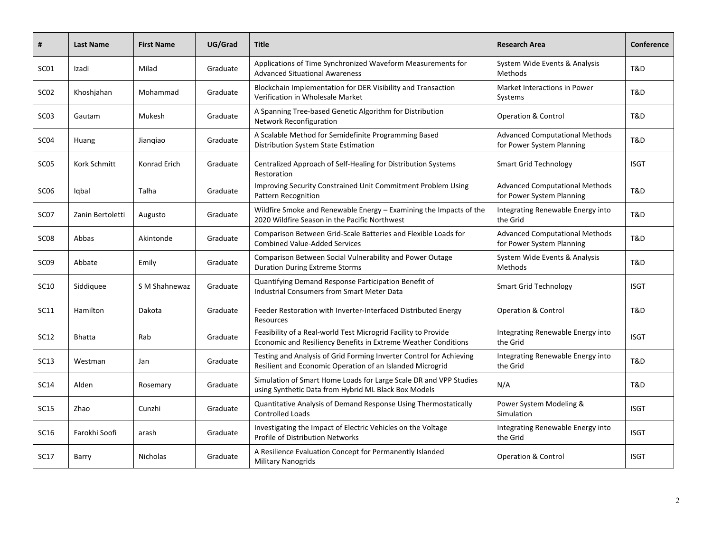| #                | <b>Last Name</b> | <b>First Name</b> | UG/Grad  | <b>Title</b>                                                                                                                     | <b>Research Area</b>                                               | Conference  |
|------------------|------------------|-------------------|----------|----------------------------------------------------------------------------------------------------------------------------------|--------------------------------------------------------------------|-------------|
| SC01             | Izadi            | Milad             | Graduate | Applications of Time Synchronized Waveform Measurements for<br><b>Advanced Situational Awareness</b>                             | System Wide Events & Analysis<br>Methods                           | T&D         |
| SC <sub>02</sub> | Khoshjahan       | Mohammad          | Graduate | Blockchain Implementation for DER Visibility and Transaction<br>Verification in Wholesale Market                                 | Market Interactions in Power<br>Systems                            | T&D         |
| SC <sub>03</sub> | Gautam           | Mukesh            | Graduate | A Spanning Tree-based Genetic Algorithm for Distribution<br>Network Reconfiguration                                              | <b>Operation &amp; Control</b>                                     | T&D         |
| SC <sub>04</sub> | Huang            | Jiangiao          | Graduate | A Scalable Method for Semidefinite Programming Based<br>Distribution System State Estimation                                     | <b>Advanced Computational Methods</b><br>for Power System Planning | T&D         |
| SC05             | Kork Schmitt     | Konrad Erich      | Graduate | Centralized Approach of Self-Healing for Distribution Systems<br>Restoration                                                     | <b>Smart Grid Technology</b>                                       | <b>ISGT</b> |
| SC <sub>06</sub> | Igbal            | Talha             | Graduate | Improving Security Constrained Unit Commitment Problem Using<br><b>Pattern Recognition</b>                                       | <b>Advanced Computational Methods</b><br>for Power System Planning | T&D         |
| SC <sub>07</sub> | Zanin Bertoletti | Augusto           | Graduate | Wildfire Smoke and Renewable Energy - Examining the Impacts of the<br>2020 Wildfire Season in the Pacific Northwest              | Integrating Renewable Energy into<br>the Grid                      | T&D         |
| SC <sub>08</sub> | Abbas            | Akintonde         | Graduate | Comparison Between Grid-Scale Batteries and Flexible Loads for<br><b>Combined Value-Added Services</b>                           | <b>Advanced Computational Methods</b><br>for Power System Planning | T&D         |
| SC <sub>09</sub> | Abbate           | Emily             | Graduate | Comparison Between Social Vulnerability and Power Outage<br><b>Duration During Extreme Storms</b>                                | System Wide Events & Analysis<br>Methods                           | T&D         |
| SC10             | Siddiquee        | S M Shahnewaz     | Graduate | Quantifying Demand Response Participation Benefit of<br><b>Industrial Consumers from Smart Meter Data</b>                        | <b>Smart Grid Technology</b>                                       | <b>ISGT</b> |
| SC11             | Hamilton         | Dakota            | Graduate | Feeder Restoration with Inverter-Interfaced Distributed Energy<br>Resources                                                      | <b>Operation &amp; Control</b>                                     | T&D         |
| SC12             | Bhatta           | Rab               | Graduate | Feasibility of a Real-world Test Microgrid Facility to Provide<br>Economic and Resiliency Benefits in Extreme Weather Conditions | Integrating Renewable Energy into<br>the Grid                      | <b>ISGT</b> |
| <b>SC13</b>      | Westman          | Jan               | Graduate | Testing and Analysis of Grid Forming Inverter Control for Achieving<br>Resilient and Economic Operation of an Islanded Microgrid | Integrating Renewable Energy into<br>the Grid                      | T&D         |
| <b>SC14</b>      | Alden            | Rosemary          | Graduate | Simulation of Smart Home Loads for Large Scale DR and VPP Studies<br>using Synthetic Data from Hybrid ML Black Box Models        | N/A                                                                | T&D         |
| SC15             | Zhao             | Cunzhi            | Graduate | Quantitative Analysis of Demand Response Using Thermostatically<br><b>Controlled Loads</b>                                       | Power System Modeling &<br>Simulation                              | <b>ISGT</b> |
| SC16             | Farokhi Soofi    | arash             | Graduate | Investigating the Impact of Electric Vehicles on the Voltage<br><b>Profile of Distribution Networks</b>                          | Integrating Renewable Energy into<br>the Grid                      | ISGT        |
| <b>SC17</b>      | Barry            | Nicholas          | Graduate | A Resilience Evaluation Concept for Permanently Islanded<br><b>Military Nanogrids</b>                                            | <b>Operation &amp; Control</b>                                     | <b>ISGT</b> |